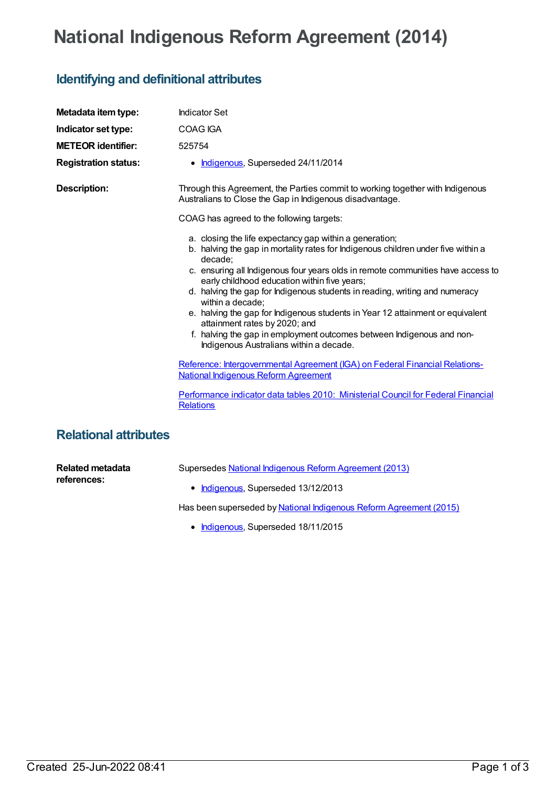## **National Indigenous Reform Agreement (2014)**

## **Identifying and definitional attributes**

| Metadata item type:          | <b>Indicator Set</b>                                                                                                                                                                                                                                                                                                                                                                                                                                                                                                                                                                                                                 |
|------------------------------|--------------------------------------------------------------------------------------------------------------------------------------------------------------------------------------------------------------------------------------------------------------------------------------------------------------------------------------------------------------------------------------------------------------------------------------------------------------------------------------------------------------------------------------------------------------------------------------------------------------------------------------|
| Indicator set type:          | COAG IGA                                                                                                                                                                                                                                                                                                                                                                                                                                                                                                                                                                                                                             |
| <b>METEOR identifier:</b>    | 525754                                                                                                                                                                                                                                                                                                                                                                                                                                                                                                                                                                                                                               |
| <b>Registration status:</b>  | • Indigenous, Superseded 24/11/2014                                                                                                                                                                                                                                                                                                                                                                                                                                                                                                                                                                                                  |
| <b>Description:</b>          | Through this Agreement, the Parties commit to working together with Indigenous<br>Australians to Close the Gap in Indigenous disadvantage.                                                                                                                                                                                                                                                                                                                                                                                                                                                                                           |
|                              | COAG has agreed to the following targets:                                                                                                                                                                                                                                                                                                                                                                                                                                                                                                                                                                                            |
|                              | a. closing the life expectancy gap within a generation;<br>b. halving the gap in mortality rates for Indigenous children under five within a<br>decade;<br>c. ensuring all Indigenous four years olds in remote communities have access to<br>early childhood education within five years;<br>d. halving the gap for Indigenous students in reading, writing and numeracy<br>within a decade;<br>e. halving the gap for Indigenous students in Year 12 attainment or equivalent<br>attainment rates by 2020; and<br>f. halving the gap in employment outcomes between Indigenous and non-<br>Indigenous Australians within a decade. |
|                              | Reference: Intergovernmental Agreement (IGA) on Federal Financial Relations-<br><b>National Indigenous Reform Agreement</b>                                                                                                                                                                                                                                                                                                                                                                                                                                                                                                          |
|                              | Performance indicator data tables 2010: Ministerial Council for Federal Financial<br><b>Relations</b>                                                                                                                                                                                                                                                                                                                                                                                                                                                                                                                                |
| <b>Relational attributes</b> |                                                                                                                                                                                                                                                                                                                                                                                                                                                                                                                                                                                                                                      |

**Related metadata references:**

Supersedes National Indigenous Reform [Agreement](https://meteor.aihw.gov.au/content/481045) (2013)

• [Indigenous](https://meteor.aihw.gov.au/RegistrationAuthority/6), Superseded 13/12/2013

Has been superseded by National Indigenous Reform [Agreement](https://meteor.aihw.gov.au/content/578744) (2015)

• [Indigenous](https://meteor.aihw.gov.au/RegistrationAuthority/6), Superseded 18/11/2015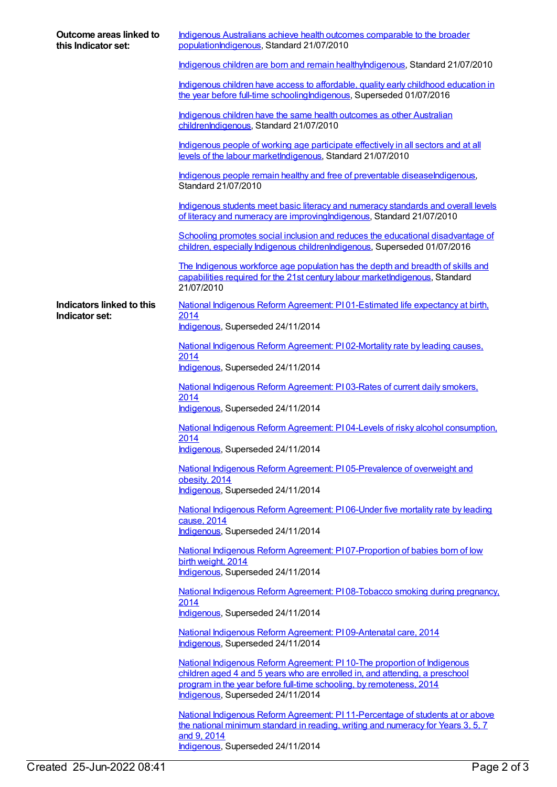| Outcome areas linked to<br>this Indicator set: | Indigenous Australians achieve health outcomes comparable to the broader<br>populationIndigenous, Standard 21/07/2010                                                                                                                                               |
|------------------------------------------------|---------------------------------------------------------------------------------------------------------------------------------------------------------------------------------------------------------------------------------------------------------------------|
|                                                | Indigenous children are born and remain healthylndigenous, Standard 21/07/2010                                                                                                                                                                                      |
|                                                | Indigenous children have access to affordable, quality early childhood education in<br>the year before full-time schoolingIndigenous, Superseded 01/07/2016                                                                                                         |
|                                                | Indigenous children have the same health outcomes as other Australian<br>childrenIndigenous, Standard 21/07/2010                                                                                                                                                    |
|                                                | Indigenous people of working age participate effectively in all sectors and at all<br>levels of the labour marketIndigenous, Standard 21/07/2010                                                                                                                    |
|                                                | Indigenous people remain healthy and free of preventable diseaseIndigenous,<br>Standard 21/07/2010                                                                                                                                                                  |
|                                                | Indigenous students meet basic literacy and numeracy standards and overall levels<br>of literacy and numeracy are improving Indigenous, Standard 21/07/2010                                                                                                         |
|                                                | Schooling promotes social inclusion and reduces the educational disadvantage of<br>children, especially Indigenous childrenIndigenous, Superseded 01/07/2016                                                                                                        |
|                                                | The Indigenous workforce age population has the depth and breadth of skills and<br>capabilities required for the 21st century labour marketIndigenous, Standard<br>21/07/2010                                                                                       |
| Indicators linked to this                      | National Indigenous Reform Agreement: PI01-Estimated life expectancy at birth.                                                                                                                                                                                      |
| Indicator set:                                 | 2014<br>Indigenous, Superseded 24/11/2014                                                                                                                                                                                                                           |
|                                                | National Indigenous Reform Agreement: PI02-Mortality rate by leading causes.                                                                                                                                                                                        |
|                                                | 2014<br>Indigenous, Superseded 24/11/2014                                                                                                                                                                                                                           |
|                                                | National Indigenous Reform Agreement: P103-Rates of current daily smokers,<br>2014<br>Indigenous, Superseded 24/11/2014                                                                                                                                             |
|                                                | National Indigenous Reform Agreement: PI04-Levels of risky alcohol consumption,                                                                                                                                                                                     |
|                                                | 2014<br>Indigenous, Superseded 24/11/2014                                                                                                                                                                                                                           |
|                                                | National Indigenous Reform Agreement: PI 05-Prevalence of overweight and                                                                                                                                                                                            |
|                                                | obesity, 2014<br>Indigenous, Superseded 24/11/2014                                                                                                                                                                                                                  |
|                                                | National Indigenous Reform Agreement: PI06-Under five mortality rate by leading<br>cause, 2014<br>Indigenous, Superseded 24/11/2014                                                                                                                                 |
|                                                | National Indigenous Reform Agreement: PI07-Proportion of babies born of low<br>birth weight, 2014<br>Indigenous, Superseded 24/11/2014                                                                                                                              |
|                                                | National Indigenous Reform Agreement: PI08-Tobacco smoking during pregnancy,<br>2014                                                                                                                                                                                |
|                                                | Indigenous, Superseded 24/11/2014                                                                                                                                                                                                                                   |
|                                                | National Indigenous Reform Agreement: PI09-Antenatal care, 2014<br>Indigenous, Superseded 24/11/2014                                                                                                                                                                |
|                                                | National Indigenous Reform Agreement: PI 10-The proportion of Indigenous<br>children aged 4 and 5 years who are enrolled in, and attending, a preschool<br>program in the year before full-time schooling, by remoteness, 2014<br>Indigenous, Superseded 24/11/2014 |
|                                                | National Indigenous Reform Agreement: PI 11-Percentage of students at or above<br>the national minimum standard in reading, writing and numeracy for Years 3, 5, 7<br>and 9, 2014<br>Indigenous, Superseded 24/11/2014                                              |